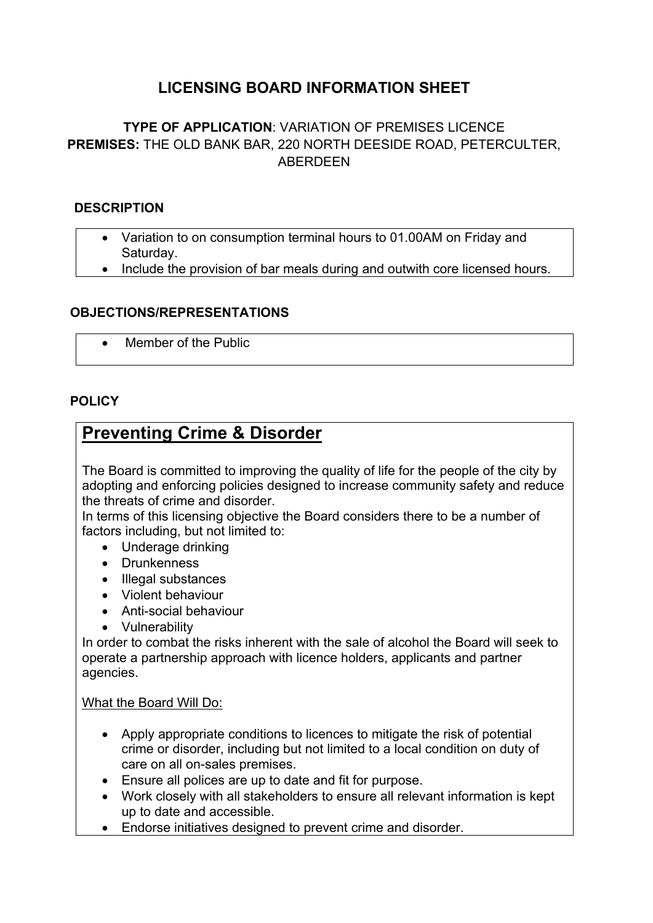## **LICENSING BOARD INFORMATION SHEET**

## **TYPE OF APPLICATION**: VARIATION OF PREMISES LICENCE **PREMISES:** THE OLD BANK BAR, 220 NORTH DEESIDE ROAD, PETERCULTER, ABERDEEN

#### **DESCRIPTION**

- Variation to on consumption terminal hours to 01.00AM on Friday and Saturday.
- Include the provision of bar meals during and outwith core licensed hours.

#### **OBJECTIONS/REPRESENTATIONS**

Member of the Public

#### **POLICY**

## **Preventing Crime & Disorder**

The Board is committed to improving the quality of life for the people of the city by adopting and enforcing policies designed to increase community safety and reduce the threats of crime and disorder.

In terms of this licensing objective the Board considers there to be a number of factors including, but not limited to:

- Underage drinking
- Drunkenness
- Illegal substances
- Violent behaviour
- Anti-social behaviour
- Vulnerability

In order to combat the risks inherent with the sale of alcohol the Board will seek to operate a partnership approach with licence holders, applicants and partner agencies.

#### What the Board Will Do:

- Apply appropriate conditions to licences to mitigate the risk of potential crime or disorder, including but not limited to a local condition on duty of care on all on-sales premises.
- Ensure all polices are up to date and fit for purpose.
- Work closely with all stakeholders to ensure all relevant information is kept up to date and accessible.
- Endorse initiatives designed to prevent crime and disorder.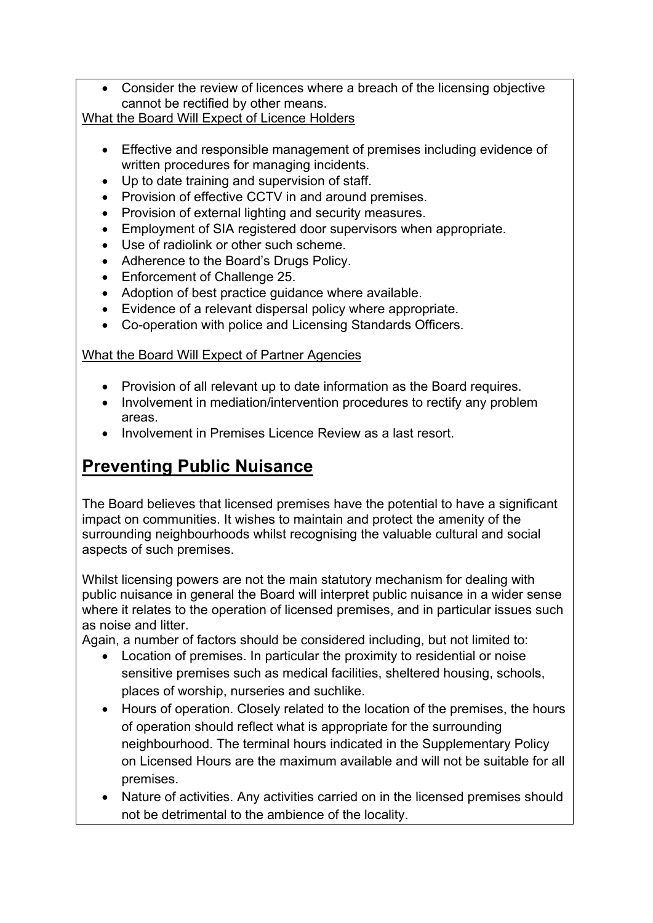Consider the review of licences where a breach of the licensing objective cannot be rectified by other means.

What the Board Will Expect of Licence Holders

- Effective and responsible management of premises including evidence of written procedures for managing incidents.
- Up to date training and supervision of staff.
- Provision of effective CCTV in and around premises.
- Provision of external lighting and security measures.
- Employment of SIA registered door supervisors when appropriate.
- Use of radiolink or other such scheme.
- Adherence to the Board's Drugs Policy.
- Enforcement of Challenge 25.
- Adoption of best practice guidance where available.
- Evidence of a relevant dispersal policy where appropriate.
- Co-operation with police and Licensing Standards Officers.

## What the Board Will Expect of Partner Agencies

- Provision of all relevant up to date information as the Board requires.
- Involvement in mediation/intervention procedures to rectify any problem areas.
- Involvement in Premises Licence Review as a last resort.

# **Preventing Public Nuisance**

The Board believes that licensed premises have the potential to have a significant impact on communities. It wishes to maintain and protect the amenity of the surrounding neighbourhoods whilst recognising the valuable cultural and social aspects of such premises.

Whilst licensing powers are not the main statutory mechanism for dealing with public nuisance in general the Board will interpret public nuisance in a wider sense where it relates to the operation of licensed premises, and in particular issues such as noise and litter.

Again, a number of factors should be considered including, but not limited to:

- Location of premises. In particular the proximity to residential or noise sensitive premises such as medical facilities, sheltered housing, schools, places of worship, nurseries and suchlike.
- Hours of operation. Closely related to the location of the premises, the hours of operation should reflect what is appropriate for the surrounding neighbourhood. The terminal hours indicated in the Supplementary Policy on Licensed Hours are the maximum available and will not be suitable for all premises.
- Nature of activities. Any activities carried on in the licensed premises should not be detrimental to the ambience of the locality.